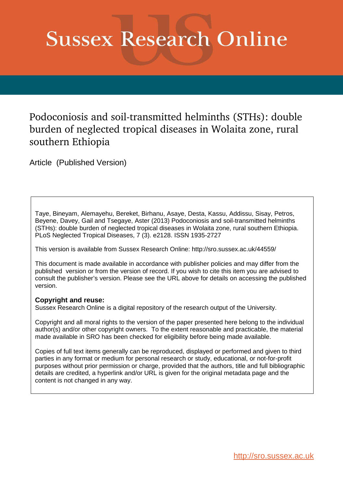# **Sussex Research Online**

Podoconiosis and soil-transmitted helminths (STHs): double burden of neglected tropical diseases in Wolaita zone, rural southern Ethiopia

Article (Published Version)

Taye, Bineyam, Alemayehu, Bereket, Birhanu, Asaye, Desta, Kassu, Addissu, Sisay, Petros, Beyene, Davey, Gail and Tsegaye, Aster (2013) Podoconiosis and soil-transmitted helminths (STHs): double burden of neglected tropical diseases in Wolaita zone, rural southern Ethiopia. PLoS Neglected Tropical Diseases, 7 (3). e2128. ISSN 1935-2727

This version is available from Sussex Research Online: http://sro.sussex.ac.uk/44559/

This document is made available in accordance with publisher policies and may differ from the published version or from the version of record. If you wish to cite this item you are advised to consult the publisher's version. Please see the URL above for details on accessing the published version.

## **Copyright and reuse:**

Sussex Research Online is a digital repository of the research output of the University.

Copyright and all moral rights to the version of the paper presented here belong to the individual author(s) and/or other copyright owners. To the extent reasonable and practicable, the material made available in SRO has been checked for eligibility before being made available.

Copies of full text items generally can be reproduced, displayed or performed and given to third parties in any format or medium for personal research or study, educational, or not-for-profit purposes without prior permission or charge, provided that the authors, title and full bibliographic details are credited, a hyperlink and/or URL is given for the original metadata page and the content is not changed in any way.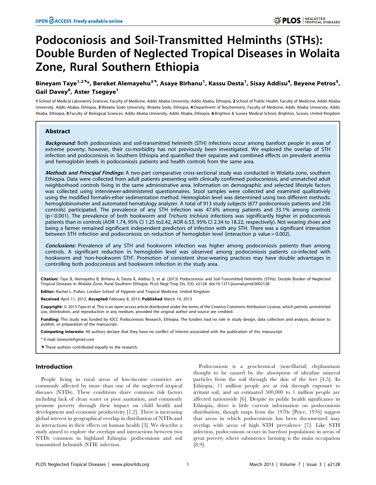# Podoconiosis and Soil-Transmitted Helminths (STHs): Double Burden of Neglected Tropical Diseases in Wolaita Zone, Rural Southern Ethiopia

## Bineyam Taye<sup>1,29</sup>\*, Bereket Alemayehu<sup>39</sup>, Asaye Birhanu<sup>1</sup>, Kassu Desta<sup>1</sup>, Sisay Addisu<sup>4</sup>, Beyene Petros<sup>5</sup>, Gail Davey<sup>6</sup>, Aster Tsegaye<sup>1</sup>

1 School of Medical Laboratory Sciences, Faculty of Medicine, Addis Ababa University, Addis Ababa, Ethiopia, 2 School of Public Health, Faculty of Medicine, Addis Ababa University, Addis Ababa, Ethiopia, 3 Wolaita Sodo University, Wolaita Sodo, Ethiopia, 4Department of Biochemistry, Faculty of Medicine, Addis Ababa University, Addis Ababa, Ethiopia, 5 Faculty of Biological Sciences, Addis Ababa University, Addis Ababa, Ethiopia, 6 Brighton & Sussex Medical School, Brighton, Sussex, United Kingdom

#### Abstract

Background: Both podoconiosis and soil-transmitted helminth (STH) infections occur among barefoot people in areas of extreme poverty; however, their co-morbidity has not previously been investigated. We explored the overlap of STH infection and podoconiosis in Southern Ethiopia and quantified their separate and combined effects on prevalent anemia and hemoglobin levels in podoconiosis patients and health controls from the same area.

Methods and Principal Findings: A two-part comparative cross-sectional study was conducted in Wolaita zone, southern Ethiopia. Data were collected from adult patients presenting with clinically confirmed podoconiosis, and unmatched adult neighborhood controls living in the same administrative area. Information on demographic and selected lifestyle factors was collected using interviewer-administered questionnaires. Stool samples were collected and examined qualitatively using the modified formalin-ether sedimentation method. Hemoglobin level was determined using two different methods: hemoglobinometer and automated hematology analyzer. A total of 913 study subjects (677 podoconiosis patients and 236 controls) participated. The prevalence of any STH infection was 47.6% among patients and 33.1% among controls (p<0.001). The prevalence of both hookworm and Trichuris trichiura infections was significantly higher in podoconiosis patients than in controls (AOR 1.74, 95% CI 1.25 to2.42, AOR 6.53, 95% CI 2.34 to 18.22, respectively). Not wearing shoes and being a farmer remained significant independent predictors of infection with any STH. There was a significant interaction between STH infection and podoconiosis on reduction of hemoglobin level (interaction p value = 0.002).

Conclusions: Prevalence of any STH and hookworm infection was higher among podoconiosis patients than among controls. A significant reduction in hemoglobin level was observed among podoconiosis patients co-infected with hookworm and 'non-hookworm STH'. Promotion of consistent shoe-wearing practices may have double advantages in controlling both podoconiosis and hookworm infection in the study area.

Citation: Taye B, Alemayehu B, Birhanu A, Desta K, Addisu S, et al. (2013) Podoconiosis and Soil-Transmitted Helminths (STHs): Double Burden of Neglected Tropical Diseases in Wolaita Zone, Rural Southern Ethiopia. PLoS Negl Trop Dis 7(3): e2128. doi:10.1371/journal.pntd.0002128

Editor: Rachel L. Pullan, London School of Hygiene and Tropical Medicine, United Kingdom

Received April 11, 2012; Accepted February 8, 2013; Published March 14, 2013

Copyright: © 2013 Taye et al. This is an open-access article distributed under the terms of the Creative Commons Attribution License, which permits unrestricted use, distribution, and reproduction in any medium, provided the original author and source are credited.

Funding: This study was funded by IOCC Podoconiosis Research, Ethiopia. The funders had no role in study design, data collection and analysis, decision to publish, or preparation of the manuscript.

Competing Interests: All authors declare that they have no conflict of interest associated with the publication of this manuscript.

\* E-mail: bineymt@gmail.com

. These authors contributed equally to the research.

#### Introduction

People living in rural areas of low-income countries are commonly affected by more than one of the neglected tropical diseases (NTDs). These conditions share common risk factors including lack of clean water or poor sanitation, and commonly promote poverty through their impact on child health and development and economic productivity [1,2]. There is increasing global interest in geographical overlap in distribution of NTDs and in interactions in their effects on human health [3]. We describe a study aimed to explore the overlaps and interactions between two NTDs common in highland Ethiopia: podoconiosis and soil transmitted helminth (STH) infection.

Podoconiosis is a geochemical (non-filarial) elephantiasis thought to be caused by the absorption of ultrafine mineral particles from the soil through the skin of the feet [4,5]. In Ethiopia, 11 million people are at risk through exposure to irritant soil, and an estimated 500,000 to 1 million people are affected nationwide [6]. Despite its public health significance in Ethiopia, there is little current information on podoconiosis distribution, though maps from the 1970s [Price, 1976] suggest that areas in which podoconiosis has been documented may overlap with areas of high STH prevalence [7]. Like STH infection, podoconiosis occurs in barefoot populations in areas of great poverty where subsistence farming is the main occupation [8,9].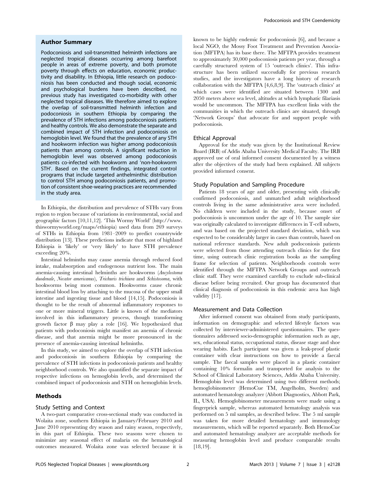#### Author Summary

Podoconiosis and soil-transmitted helminth infections are neglected tropical diseases occurring among barefoot people in areas of extreme poverty, and both promote poverty through effects on education, economic productivity and disability. In Ethiopia, little research on podoconiosis has been conducted and though social, economic and psychological burdens have been described, no previous study has investigated co-morbidity with other neglected tropical diseases. We therefore aimed to explore the overlap of soil-transmitted helminth infection and podoconiosis in southern Ethiopia by comparing the prevalence of STH infections among podoconiosis patients and healthy controls. We also demonstrate the separate and combined impact of STH infection and podoconiosis on hemoglobin level. We found that the prevalence of any STH and hookworm infection was higher among podoconiosis patients than among controls. A significant reduction in hemoglobin level was observed among podoconiosis patients co-infected with hookworm and 'non-hookworm STH'. Based on the current findings, integrated control programs that include targeted anthelminthic distribution to control STH among podoconiosis patients, and promotion of consistent shoe-wearing practices are recommended in the study area.

In Ethiopia, the distribution and prevalence of STHs vary from region to region because of variations in environmental, social and geographic factors [10,11,12]. 'This Wormy World' (http://www. thiswormyworld.org/maps/ethiopia) used data from 269 surveys of STHs in Ethiopia from 1981–2009 to predict countrywide distribution [13]. These predictions indicate that most of highland Ethiopia is 'likely' or 'very likely' to have STH prevalence exceeding 20%.

Intestinal helminths may cause anemia through reduced food intake, malabsorption and endogenous nutrient loss. The main anemia-causing intestinal helminths are hookworms (Ancylostoma duodenale, Necator americanus), Trichuris trichiura and Schistosoma, with hookworms being most common. Hookworms cause chronic intestinal blood loss by attaching to the mucosa of the upper small intestine and ingesting tissue and blood [14,15]. Podoconiosis is thought to be the result of abnormal inflammatory responses to one or more mineral triggers. Little is known of the mediators involved in this inflammatory process, though transforming growth factor  $\beta$  may play a role [16]. We hypothesized that patients with podoconiosis might manifest an anemia of chronic disease, and that anemia might be more pronounced in the presence of anemia-causing intestinal helminths.

In this study, we aimed to explore the overlap of STH infection and podoconiosis in southern Ethiopia by comparing the prevalence of STH infections in podoconiosis patients and healthy neighborhood controls. We also quantified the separate impact of respective infections on hemoglobin levels, and determined the combined impact of podoconiosis and STH on hemoglobin levels.

#### Methods

#### Study Setting and Context

A two-part comparative cross-sectional study was conducted in Wolaita zone, southern Ethiopia in January/February 2010 and June 2010 representing dry season and rainy season, respectively, in this part of Ethiopia. These two seasons were chosen to minimize any seasonal effect of malaria on the hematological outcomes measured. Wolaita zone was selected because it is known to be highly endemic for podoconiosis [6], and because a local NGO, the Mossy Foot Treatment and Prevention Association (MFTPA) has its base there. The MFTPA provides treatment to approximately 30,000 podoconiosis patients per year, through a carefully structured system of 15 'outreach clinics'. This infrastructure has been utilized successfully for previous research studies, and the investigators have a long history of research collaboration with the MFTPA [4,6,8,9]. The 'outreach clinics' at which cases were identified are situated between 1300 and 2050 meters above sea level, altitudes at which lymphatic filariasis would be uncommon. The MFTPA has excellent links with the communities in which the outreach clinics are situated, through 'Network Groups' that advocate for and support people with podoconiosis.

#### Ethical Approval

Approval for the study was given by the Institutional Review Board (IRB) of Addis Ababa University Medical Faculty. The IRB approved use of oral informed consent documented by a witness after the objectives of the study had been explained. All subjects provided informed consent.

#### Study Population and Sampling Procedure

Patients 18 years of age and older, presenting with clinically confirmed podoconiosis, and unmatched adult neighborhood controls living in the same administrative area were included. No children were included in the study, because onset of podoconiosis is uncommon under the age of 10. The sample size was originally calculated to investigate differences in T-cell subsets, and was based on the projected standard deviation, which was expected to be considerably larger in cases than controls, based on national reference standards. New adult podoconiosis patients were selected from those attending outreach clinics for the first time, using outreach clinic registration books as the sampling frame for selection of patients. Neighborhoods controls were identified through the MFTPA Network Groups and outreach clinic staff. They were examined carefully to exclude sub-clinical disease before being recruited. Our group has documented that clinical diagnosis of podoconiosis in this endemic area has high validity [17].

#### Measurement and Data Collection

After informed consent was obtained from study participants, information on demographic and selected lifestyle factors was collected by interviewer-administered questionnaires. The questionnaires addressed socio-demographic information such as age, sex, educational status, occupational status, disease stage and shoe wearing habits. Each participant was given a leak-proof plastic container with clear instructions on how to provide a faecal sample. The faecal samples were placed in a plastic container containing 10% formalin and transported for analysis to the School of Clinical Laboratory Sciences, Addis Ababa University. Hemoglobin level was determined using two different methods; hemoglobinometer (HemoCue TM, Angelholm, Sweden) and automated hematology analyzer (Abbott Diagnostics, Abbott Park, IL, USA). Hemoglobinometer measurements were made using a fingerprick sample, whereas automated hematology analysis was performed on 5 ml samples, as described below. The 5 ml sample was taken for more detailed hematology and immunology measurements, which will be reported separately. Both HemoCue and automated hematology analyzer are acceptable methods for measuring hemoglobin level and produce comparable results [18,19].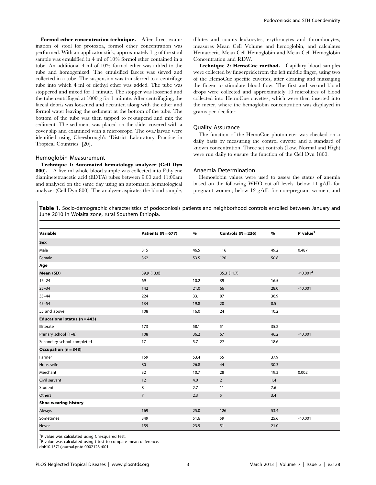Formol ether concentration technique. After direct examination of stool for protozoa, formol ether concentration was performed. With an applicator stick, approximately 1 g of the stool sample was emulsified in 4 ml of 10% formol ether contained in a tube. An additional 4 ml of 10% formol ether was added to the tube and homogenized. The emulsified faeces was sieved and collected in a tube. The suspension was transferred to a centrifuge tube into which 4 ml of diethyl ether was added. The tube was stoppered and mixed for 1 minute. The stopper was loosened and the tube centrifuged at 1000 g for 1 minute. After centrifuging, the faecal debris was loosened and decanted along with the ether and formol water leaving the sediment at the bottom of the tube. The bottom of the tube was then tapped to re-suspend and mix the sediment. The sediment was placed on the slide, covered with a cover slip and examined with a microscope. The ova/larvae were identified using Cheesbrough's 'District Laboratory Practice in Tropical Countries' [20].

#### Hemoglobin Measurement

Technique 1: Automated hematology analyzer (Cell Dyn 800). A five ml whole blood sample was collected into Ethylene diaminetetraacetic acid (EDTA) tubes between 9:00 and 11:00am and analysed on the same day using an automated hematological analyzer (Cell Dyn 800). The analyzer aspirates the blood sample,

dilutes and counts leukocytes, erythrocytes and thrombocytes, measures Mean Cell Volume and hemoglobin, and calculates Hematocrit, Mean Cell Hemoglobin and Mean Cell Hemoglobin Concentration and RDW.

Technique 2: HemoCue method. Capillary blood samples were collected by fingerprick from the left middle finger, using two of the HemoCue specific cuvettes, after cleaning and massaging the finger to stimulate blood flow. The first and second blood drops were collected and approximately 10 microlitres of blood collected into HemoCue cuvettes, which were then inserted into the meter, where the hemoglobin concentration was displayed in grams per deciliter.

#### Quality Assurance

The function of the HemoCue photometer was checked on a daily basis by measuring the control cuvette and a standard of known concentration. Three set controls (Low, Normal and High) were run daily to ensure the function of the Cell Dyn 1800.

#### Anaemia Determination

Hemoglobin values were used to assess the status of anemia based on the following WHO cut-off levels: below 11 g/dL for pregnant women; below 12 g/dL for non-pregnant women; and

Table 1. Socio-demographic characteristics of podoconiosis patients and neighborhood controls enrolled between January and June 2010 in Wolaita zone, rural Southern Ethiopia.

| Variable                       | Patients $(N = 677)$ | $\%$ | Controls $(N = 236)$ | $\%$ | P value <sup>1</sup> |  |
|--------------------------------|----------------------|------|----------------------|------|----------------------|--|
| Sex                            |                      |      |                      |      |                      |  |
| Male                           | 315                  | 46.5 | 116                  | 49.2 | 0.487                |  |
| Female                         | 362                  | 53.5 | 120                  | 50.8 |                      |  |
| Age                            |                      |      |                      |      |                      |  |
| Mean (SD)                      | 39.9 (13.0)          |      | 35.3 (11.7)          |      | < 0.001 <sup>2</sup> |  |
| $15 - 24$                      | 69                   | 10.2 | 39                   | 16.5 |                      |  |
| $25 - 34$                      | 142                  | 21.0 | 66                   | 28.0 | < 0.001              |  |
| $35 - 44$                      | 224                  | 33.1 | 87                   | 36.9 |                      |  |
| $45 - 54$                      | 134                  | 19.8 | 20                   | 8.5  |                      |  |
| 55 and above                   | 108                  | 16.0 | 24                   | 10.2 |                      |  |
| Educational status $(n = 443)$ |                      |      |                      |      |                      |  |
| Illiterate                     | 173                  | 58.1 | 51                   | 35.2 |                      |  |
| Primary school (1-8)           | 108                  | 36.2 | 67                   | 46.2 | < 0.001              |  |
| Secondary school completed     | 17                   | 5.7  | 27                   | 18.6 |                      |  |
| <b>Occupation (n = 343)</b>    |                      |      |                      |      |                      |  |
| Farmer                         | 159                  | 53.4 | 55                   | 37.9 |                      |  |
| Housewife                      | 80                   | 26.8 | 44                   | 30.3 |                      |  |
| Merchant                       | 32                   | 10.7 | 28                   | 19.3 | 0.002                |  |
| Civil servant                  | 12                   | 4.0  | $\overline{2}$       | 1.4  |                      |  |
| Student                        | 8                    | 2.7  | 11                   | 7.6  |                      |  |
| Others                         | $\overline{7}$       | 2.3  | 5                    | 3.4  |                      |  |
| Shoe wearing history           |                      |      |                      |      |                      |  |
| Always                         | 169                  | 25.0 | 126                  | 53.4 |                      |  |
| Sometimes                      | 349                  | 51.6 | 59                   | 25.6 | < 0.001              |  |
| Never                          | 159                  | 23.5 | 51                   | 21.0 |                      |  |

<sup>1</sup>P value was calculated using Chi-squared test.

<sup>2</sup>P value was calculated using t test to compare mean difference.

doi:10.1371/journal.pntd.0002128.t001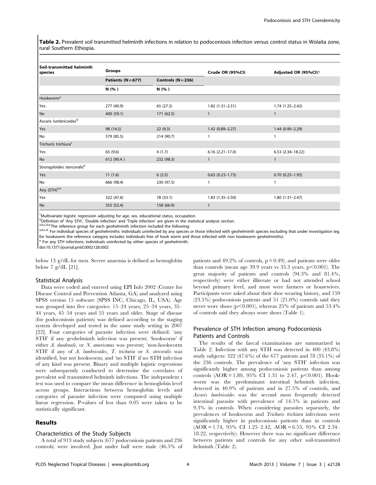Table 2. Prevalent soil transmitted helminth infections in relation to podoconiosis infection versus control status in Wolaita zone, rural Southern Ethiopia.

| Soil-transmitted helminth<br>species   | Groups                 |                      | Crude OR (95%CI)       | Adjusted OR (95%CI)† |
|----------------------------------------|------------------------|----------------------|------------------------|----------------------|
|                                        | Patients ( $N = 677$ ) | Controls $(N = 236)$ |                        |                      |
|                                        | N(% )                  | N(% )                |                        |                      |
| Hookworm <sup>a</sup>                  |                        |                      |                        |                      |
| Yes                                    | 277 (40.9)             | 65 (27.5)            | $1.82(1.31 - 2.51)$    | 1.74 (1.25-2.42)     |
| No                                     | 400 (59.1)             | 171 (62.5)           | $\mathbf{1}$           | $\mathbf{1}$         |
| Ascaris lumbricoides <sup>b</sup>      |                        |                      |                        |                      |
| Yes                                    | 98 (14.5)              | 22(9.3)              | $1.42(0.89 - 2.27)$    | $1.44(0.90 - 2.29)$  |
| No                                     | 579 (85.5)             | 214 (90.7)           |                        | 1                    |
| Trichuris trichiura <sup>c</sup>       |                        |                      |                        |                      |
| Yes                                    | 65 (9.6)               | 4(1.7)               | $6.16(2.21-17.0)$      | 6.53 (2.34-18.22)    |
| No                                     | 612 (90.4)             | 232 (98.3)           | $\mathbf{1}$           | $\mathbf{1}$         |
| Strongyloides stercoralis <sup>d</sup> |                        |                      |                        |                      |
| Yes                                    | 11(1.6)                | 6(2.5)               | $0.63$ $(0.23 - 1.73)$ | $0.70(0.25 - 1.95)$  |
| No                                     | 666 (98.4)             | 230 (97.5)           |                        | 1                    |
| Any (STH) <sup>¥,e</sup>               |                        |                      |                        |                      |
| Yes                                    | 322 (47.6)             | 78 (33.1)            | $1.83(1.35 - 2.50)$    | $1.80(1.31 - 2.47)$  |
| No                                     | 355 (52.4)             | 158 (66.9)           | $\mathbf{1}$           |                      |

 $*$ Multivariate logistic regression adjusting for age, sex, educational status, occupation.

¥Definition of 'Any STH', 'Double infection' and 'Triple infection' are given in the statistical analysis section.

a,b,c,d,e,The reference group for each geohelminth infection included the following:

a,b,c,d. For individual species of geohelminths: individuals uninfected by any species or those infected with geohelminth species excluding that under investigation (eg. for hookworm the reference category includes individuals free of hook worm and those infected with non hookworm geohelminths).

<sup>e</sup> For any STH infections: individuals uninfected by either species of geohelminth.

doi:10.1371/journal.pntd.0002128.t002

below 13 g/dL for men. Severe anaemia is defined as hemoglobin below 7 g/dL [21].

#### Statistical Analysis

Data were coded and entered using EPI Info 2002 (Centre for Disease Control and Prevention Atlanta, GA) and analyzed using SPSS version 15 software (SPSS INC, Chicago, IL, USA). Age was grouped into five categories: 15–24 years, 25–34 years, 35– 44 years, 45–54 years and 55 years and older. Stage of disease (for podoconiosis patients) was defined according to the staging system developed and tested in the same study setting in 2007 [22]. Four categories of parasite infection were defined: 'any STH' if any geohelminth infection was present; 'hookworm' if either A. duodenale, or N. americanus was present; 'non-hookworm STH' if any of A. lumbricoides, T. trichuria or S. stercoralis was identified, but not hookworm; and 'no STH' if no STH infection of any kind was present. Binary and multiple logistic regressions were subsequently conducted to determine the correlates of prevalent soil transmitted helminth infections. The independent t test was used to compare the mean difference in hemoglobin level across groups. Interactions between hemoglobin levels and categories of parasite infection were computed using multiple linear regression. P-values of less than 0.05 were taken to be statistically significant.

#### Results

#### Characteristics of the Study Subjects

A total of 913 study subjects (677 podoconiosis patients and 236 controls) were involved. Just under half were male (46.5% of patients and 49.2% of controls,  $p = 0.49$ ), and patients were older than controls (mean age  $39.9$  years vs  $35.3$  years,  $p<0.001$ ). The great majority of patients and controls (94.3% and 81.4%, respectively) were either illiterate or had not attended school beyond primary level, and most were farmers or housewives. Participants were asked about their shoe wearing history, and 159 (23.5%) podoconiosis patients and 51 (21.0%) controls said they never wore shoes ( $p<0.001$ ), whereas 25% of patients and 53.4% of controls said they always wore shoes (Table 1).

#### Prevalence of STH Infection among Podoconiosis Patients and Controls

The results of the faecal examinations are summarized in Table 2. Infection with any STH was detected in 400 (43.8%) study subjects: 322 (47.6%) of the 677 patients and 78 (33.1%) of the 236 controls. The prevalence of 'any STH' infection was significantly higher among podoconiosis patients than among controls (AOR = 1.80, 95% CI 1.31 to 2.47, p $\leq 0.001$ ). Hookworm was the predominant intestinal helminth infection, detected in 40.9% of patients and in 27.5% of controls, and Ascaris lumbricoides was the second most frequently detected intestinal parasite with prevalence of 14.5% in patients and 9.3% in controls. When considering parasites separately, the prevalences of hookworm and Trichuris trichiura infections were significantly higher in podoconiosis patients than in controls (AOR = 1.74, 95% CI 1.25–2.42, AOR = 6.53, 95% CI 2.34– 18.22, respectively). However there was no significant difference between patients and controls for any other soil-transmitted helminth (Table 2).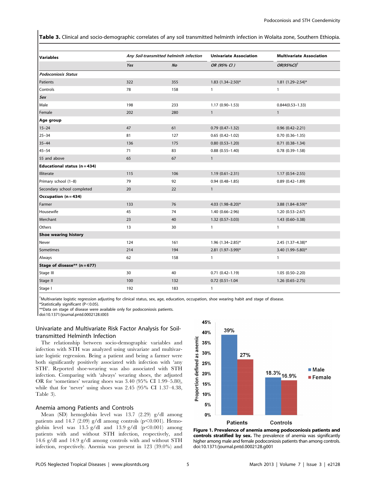Table 3. Clinical and socio-demographic correlates of any soil transmitted helminth infection in Wolaita zone, Southern Ethiopia.

| Variables                    | Any Soil-transmitted helminth infection |     | <b>Univariate Association</b> | <b>Multivariate Association</b> |  |
|------------------------------|-----------------------------------------|-----|-------------------------------|---------------------------------|--|
|                              | Yes                                     | No  | OR (95% CI)                   | <b>OR(95%CI)</b>                |  |
| <b>Podoconiosis Status</b>   |                                         |     |                               |                                 |  |
| Patients                     | 322                                     | 355 | $1.83$ $(1.34 - 2.50)^*$      | $1.81$ (1.29-2.54)*             |  |
| Controls                     | 78                                      | 158 | $\mathbf{1}$                  | $\mathbf{1}$                    |  |
| $\sqrt{\textit{Sex}}$        |                                         |     |                               |                                 |  |
| Male                         | 198                                     | 233 | $1.17(0.90 - 1.53)$           | $0.844(0.53 - 1.33)$            |  |
| Female                       | 202                                     | 280 | $\mathbf{1}$                  | $\mathbf{1}$                    |  |
| Age group                    |                                         |     |                               |                                 |  |
| $15 - 24$                    | 47                                      | 61  | $0.79(0.47 - 1.32)$           | $0.96$ $(0.42 - 2.21)$          |  |
| $25 - 34$                    | 81                                      | 127 | $0.65(0.42 - 1.02)$           | $0.70(0.36 - 1.35)$             |  |
| $35 - 44$                    | 136                                     | 175 | $0.80(0.53 - 1.20)$           | $0.71$ $(0.38-1.34)$            |  |
| 45-54                        | 71                                      | 83  | $0.88(0.55 - 1.40)$           | $0.78$ $(0.39-1.58)$            |  |
| 55 and above                 | 65                                      | 67  | $\mathbf{1}$                  |                                 |  |
| Educational status (n = 434) |                                         |     |                               |                                 |  |
| Illiterate                   | 115                                     | 106 | $1.19(0.61 - 2.31)$           | $1.17(0.54 - 2.55)$             |  |
| Primary school (1-8)         | 79                                      | 92  | $0.94(0.48 - 1.85)$           | $0.89$ $(0.42 - 1.89)$          |  |
| Secondary school completed   | 20                                      | 22  | $\mathbf{1}$                  |                                 |  |
| Occupation (n = 434)         |                                         |     |                               |                                 |  |
| Farmer                       | 133                                     | 76  | 4.03 (1.98-8.20)*             | 3.88 $(1.84 - 8.59)^*$          |  |
| Housewife                    | 45                                      | 74  | $1.40(0.66 - 2.96)$           | $1.20(0.53 - 2.67)$             |  |
| Merchant                     | 23                                      | 40  | $1.32(0.57 - 3.03)$           | $1.43(0.60 - 3.38)$             |  |
| Others                       | 13                                      | 30  | $\mathbf{1}$                  | $\mathbf{1}$                    |  |
| <b>Shoe wearing history</b>  |                                         |     |                               |                                 |  |
| Never                        | 124                                     | 161 | $1.96$ (1.34-2.85)*           | 2.45 (1.37-4.38)*               |  |
| Sometimes                    | 214                                     | 194 | 2.81 (1.97-3.99)*             | 3.40 (1.99-5.80)*               |  |
| Always                       | 62                                      | 158 | $\mathbf{1}$                  | $\mathbf{1}$                    |  |
| Stage of disease** (n = 677) |                                         |     |                               |                                 |  |
| Stage III                    | 30                                      | 40  | $0.71(0.42 - 1.19)$           | $1.05(0.50 - 2.20)$             |  |
| Stage II                     | 100                                     | 132 | $0.72(0.51 - 1.04)$           | $1.26$ (0.65-2.75)              |  |
| Stage I                      | 192                                     | 183 | $\mathbf{1}$                  |                                 |  |

{Multivariate logistic regression adjusting for clinical status, sex, age, education, occupation, shoe wearing habit and stage of disease.

 $*$ Statistically significant (P<0.05).

\*\*Data on stage of disease were available only for podoconiosis patients.

doi:10.1371/journal.pntd.0002128.t003

#### Univariate and Multivariate Risk Factor Analysis for Soiltransmitted Helminth Infection

The relationship between socio-demographic variables and infection with STH was analyzed using univariate and multivariate logistic regression. Being a patient and being a farmer were both significantly positively associated with infection with 'any STH'. Reported shoe-wearing was also associated with STH infection. Comparing with 'always' wearing shoes, the adjusted OR for 'sometimes' wearing shoes was 3.40 (95% CI 1.99–5.80), while that for 'never' using shoes was 2.45 (95% CI 1.37–4.38, Table 3).

#### Anemia among Patients and Controls

Mean (SD) hemoglobin level was 13.7 (2.29) g/dl among patients and 14.7 (2.09) g/dl among controls ( $p<0.001$ ). Hemoglobin level was 13.5 g/dl and 13.9 g/dl  $(p<0.001)$  among patients with and without STH infection, respectively, and 14.6 g/dl and 14.9 g/dl among controls with and without STH infection, respectively. Anemia was present in 123 (39.0%) and



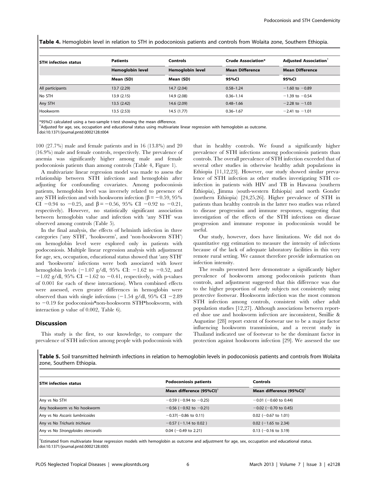Table 4. Hemoglobin level in relation to STH in podoconiosis patients and controls from Wolaita zone, Southern Ethiopia.

| <b>STH</b> infection status | <b>Patients</b>         | Controls         | <b>Crude Association*</b> | <b>Adjusted Association</b> |  |
|-----------------------------|-------------------------|------------------|---------------------------|-----------------------------|--|
|                             | <b>Hemoglobin level</b> | Hemoglobin level | <b>Mean Difference</b>    | <b>Mean Difference</b>      |  |
|                             | Mean (SD)               | Mean (SD)        | 95%Cl                     | 95%CI                       |  |
| All participants            | 13.7 (2.29)             | 14.7 (2.04)      | $0.58 - 1.24$             | $-1.60$ to $-0.89$          |  |
| No STH                      | 13.9 (2.15)             | 14.9 (2.08)      | $0.36 - 1.14$             | $-1.39$ to $-0.54$          |  |
| Any STH                     | 13.5(2.42)              | 14.6 (2.09)      | $0.48 - 1.66$             | $-2.28$ to $-1.03$          |  |
| Hookworm                    | 13.5 (2.53)             | 14.5 (1.77)      | $0.36 - 1.67$             | $-2.41$ to $-1.01$          |  |

\*95%CI calculated using a two-sample t-test showing the mean difference.

{ Adjusted for age, sex, occupation and educational status using multivariate linear regression with hemoglobin as outcome.

doi:10.1371/journal.pntd.0002128.t004

100 (27.7%) male and female patients and in 16 (13.8%) and 20 (16.9%) male and female controls, respectively. The prevalence of anemia was significantly higher among male and female podoconiosis patients than among controls (Table 4, Figure 1).

A multivariate linear regression model was made to assess the relationship between STH infections and hemoglobin after adjusting for confounding covariates. Among podoconiosis patients, hemoglobin level was inversely related to presence of any STH infection and with hookworm infection ( $\beta$  = -0.59, 95%) CI  $-0.94$  to  $-0.25$ , and  $\beta = -0.56$ , 95% CI  $-0.92$  to  $-0.21$ , respectively). However, no statistically significant association between hemoglobin value and infection with 'any STH' was observed among controls (Table 5).

In the final analysis, the effects of helminth infection in three categories ('any STH', 'hookworm', and 'non-hookworm STH') on hemoglobin level were explored only in patients with podoconiosis. Multiple linear regression analysis with adjustment for age, sex, occupation, educational status showed that 'any STH' and 'hookworm' infections were both associated with lower hemoglobin levels  $(-1.07 \text{ g}/\text{d}l, 95\% \text{ CI: } -1.62 \text{ to } -0.52, \text{ and }$  $-1.02$  g/dl, 95% CI  $-1.62$  to  $-0.41$ , respectively, with p-values of 0.001 for each of these interactions). When combined effects were assessed, even greater differences in hemoglobin were observed than with single infections  $(-1.54 \text{ g}/\text{dl}, 95\% \text{ CI} - 2.89)$ to  $-0.19$  for podoconiosis\*non-hookworm STH\*hookworm, with interaction p value of 0.002, Table 6).

#### **Discussion**

This study is the first, to our knowledge, to compare the prevalence of STH infection among people with podoconiosis with that in healthy controls. We found a significantly higher prevalence of STH infections among podoconiosis patients than controls. The overall prevalence of STH infection exceeded that of several other studies in otherwise healthy adult populations in Ethiopia [11,12,23]. However, our study showed similar prevalence of STH infection as other studies investigating STH coinfection in patients with HIV and TB in Hawassa (southern Ethiopia), Jimma (south-western Ethiopia) and north Gonder (northern Ethiopia) [24,25,26]. Higher prevalence of STH in patients than healthy controls in the latter two studies was related to disease progression and immune responses, suggesting that investigation of the effects of the STH infections on disease progression and immune response in podoconiosis would be useful.

Our study, however, does have limitations. We did not do quantitative egg estimation to measure the intensity of infections because of the lack of adequate laboratory facilities in this very remote rural setting. We cannot therefore provide information on infection intensity.

The results presented here demonstrate a significantly higher prevalence of hookworm among podoconiosis patients than controls, and adjustment suggested that this difference was due to the higher proportion of study subjects not consistently using protective footwear. Hookworm infection was the most common STH infection among controls, consistent with other adult population studies [12,27]. Although associations between reported shoe use and hookworm infection are inconsistent, Smillie & Augustine [28] report extent of footwear use to be a major factor influencing hookworm transmission, and a recent study in Thailand indicated use of footwear to be the dominant factor in protection against hookworm infection [29]. We assessed the use

Table 5. Soil transmitted helminth infections in relation to hemoglobin levels in podoconiosis patients and controls from Wolaita zone, Southern Ethiopia.

| <b>STH</b> infection status         | <b>Podoconiosis patients</b>         | <b>Controls</b>                      |  |
|-------------------------------------|--------------------------------------|--------------------------------------|--|
|                                     | Mean difference (95%CI) <sup>1</sup> | Mean difference (95%CI) <sup>1</sup> |  |
| Any vs No STH                       | $-0.59$ (-0.94 to -0.25)             | $-0.01$ (-0.60 to 0.44)              |  |
| Any hookworm vs No hookworm         | $-0.56$ (-0.92 to -0.21)             | $-0.02$ (-0.70 to 0.45)              |  |
| Any vs No Ascaris lumbricoides      | $-0.37(-0.86 \text{ to } 0.11)$      | $0.02$ (-0.67 to 1.01)               |  |
| Any vs No Trichuris trichiura       | $-0.57$ ( $-1.14$ to 0.02)           | $0.02$ (-1.65 to 2.34)               |  |
| Any vs No Strongyloides stercoralis | $0.04$ (-0.49 to 2.21)               | $0.13$ (-0.16 to 3.19)               |  |

{ Estimated from multivariate linear regression models with hemoglobin as outcome and adjustment for age, sex, occupation and educational status. doi:10.1371/journal.pntd.0002128.t005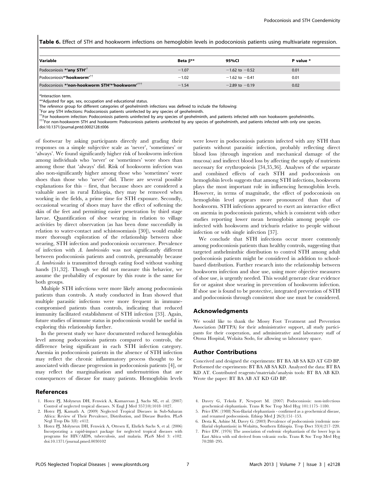Table 6. Effect of STH and hookworm infections on hemoglobin levels in podoconiosis patients using multivariate regression.

| Variable                                                   | Beta $6**$ | 95%CI              | P value * |
|------------------------------------------------------------|------------|--------------------|-----------|
| Podoconiosis *'any STH' <sup>†</sup>                       | $-1.07$    | $-1.62$ to $-0.52$ | 0.01      |
| Podoconiosis*'hookworm' <sup>††</sup>                      | $-1.02$    | $-1.62$ to $-0.41$ | 0.01      |
| Podoconiosis *'non-hookworm STH'*'hookworm' <sup>†††</sup> | $-1.54$    | $-2.89$ to $-0.19$ | 0.02      |

\*Interaction term.

\*\*Adjusted for age, sex, occupation and educational status.

The reference group for different categories of geohelminth infections was defined to include the following:

<sup>†</sup>For any STH infections: Podoconiosis patients uninfected by any species of geohelminth.

<sup>††</sup>For hookworm infection: Podoconiosis patients uninfected by any species of geohelminth, and patients infected with non hookworm geohelminths.

{{{For non-hookworm STH and hookworm: Podoconiosis patients uninfected by any species of geohelminth, and patients infected with only one species.

doi:10.1371/journal.pntd.0002128.t006

of footwear by asking participants directly and grading their responses on a simple subjective scale as 'never', 'sometimes' or 'always'. We found significantly higher risk of hookworm infection among individuals who 'never' or 'sometimes' wore shoes than among those that 'always' did. Risk of hookworm infection was also non-significantly higher among those who 'sometimes' wore shoes than those who 'never' did. There are several possible explanations for this – first, that because shoes are considered a valuable asset in rural Ethiopia, they may be removed when working in the fields, a prime time for STH exposure. Secondly, occasional wearing of shoes may have the effect of softening the skin of the feet and permitting easier penetration by third stage larvae. Quantification of shoe wearing in relation to village activities by direct observation (as has been done successfully in relation to water-contact and schistosomiasis [30]), would enable more thorough exploration of the relationship between shoe wearing, STH infection and podoconiosis occurrence. Prevalence of infection with A. lumbricoides was not significantly different between podoconiosis patients and controls, presumably because A. lumbricoides is transmitted through eating food without washing hands [31,32]. Though we did not measure this behavior, we assume the probability of exposure by this route is the same for both groups.

Multiple STH infections were more likely among podoconiosis patients than controls. A study conducted in Iran showed that multiple parasitic infections were more frequent in immunecompromised patients than controls, indicating that reduced immunity facilitated establishment of STH infection [33]. Again, future studies of immune status in podoconiosis would be useful in exploring this relationship further.

In the present study we have documented reduced hemoglobin level among podoconiosis patients compared to controls, the difference being significant in each STH infection category. Anemia in podoconiosis patients in the absence of STH infection may reflect the chronic inflammatory process thought to be associated with disease progression in podoconiosis patients [4], or may reflect the marginalisation and undernutrition that are consequences of disease for many patients. Hemoglobin levels

#### References

- 1. Hotez PJ, Molyneux DH, Fenwick A, Kumaresan J, Sachs SE, et al. (2007) Control of neglected tropical diseases. N Engl J Med 357(10):1018–1027.
- 2. Hotez PJ, Kamath A. (2009) Neglected Tropical Diseases in Sub-Saharan Africa: Review of Their Prevalence, Distribution, and Disease Burden. PLoS Negl Trop Dis 3(8): e412.
- 3. Hotez PJ, Molyneux DH, Fenwick A, Ottesen E, Ehrlich Sachs S, et al. (2006) Incorporating a rapid-impact package for neglected tropical diseases with programs for HIV/AIDS, tuberculosis, and malaria. PLoS Med 3: e102. doi:10.1371/journal.pmed.0030102

were lower in podoconiosis patients infected with any STH than patients without parasitic infection, probably reflecting direct blood loss (through ingestion and mechanical damage of the mucosa) and indirect blood loss by affecting the supply of nutrients necessary for erythropoiesis [34,35,36]. Analyses of the separate and combined effects of each STH and podoconiosis on hemoglobin levels suggests that among STH infections, hookworm plays the most important role in influencing hemoglobin levels. However, in terms of magnitude, the effect of podoconiosis on hemoglobin level appears more pronounced than that of hookworm. STH infections appeared to exert an interactive effect on anemia in podoconiosis patients, which is consistent with other studies reporting lower mean hemoglobin among people coinfected with hookworm and trichuris relative to people without infection or with single infection [37].

We conclude that STH infections occur more commonly among podoconiosis patients than healthy controls, suggesting that targeted anthelminthic distribution to control STH among adult podoconiosis patients might be considered in addition to schoolbased distribution. Further research into the relationship between hookworm infection and shoe use, using more objective measures of shoe use, is urgently needed. This would generate clear evidence for or against shoe wearing in prevention of hookworm infection. If shoe use is found to be protective, integrated prevention of STH and podoconiosis through consistent shoe use must be considered.

#### Acknowledgments

We would like to thank the Mossy Foot Treatment and Prevention Association (MFTPA) for their administrative support, all study participants for their cooperation, and administrative and laboratory staff of Otona Hospital, Wolaita Sodo, for allowing us laboratory space.

#### Author Contributions

Conceived and designed the experiments: BT BA AB SA KD AT GD BP. Performed the experiments: BT BA AB SA KD. Analyzed the data: BT BA KD AT. Contributed reagents/materials/analysis tools: BT BA AB KD. Wrote the paper: BT BA AB AT KD GD BP.

- 4. Davey G, Tekola F, Newport M. (2007) Podoconiosis: non-infectious geochemical elephantiasis. Trans R Soc Trop Med Hyg 101:1175–1180.
- 5. Price EW. (1988) Non-filarial elephantiasis confirmed as a geochemical disease, and renamed podoconiosis. Ethiop Med J 26(3):151–153.
- 6. Desta K, Ashine M, Davey G. (2003) Prevalence of podoconiosis (endemic nonfilarial elephantiasis) in Wolaitta, Southern Ethiopia. Trop Doct 33(4):217–220.
- 7. Price EW. (1976) The association of endemic elephantiasis of the lower legs in East Africa with soil derived from volcanic rocks. Trans R Soc Trop Med Hyg 70:288–295.